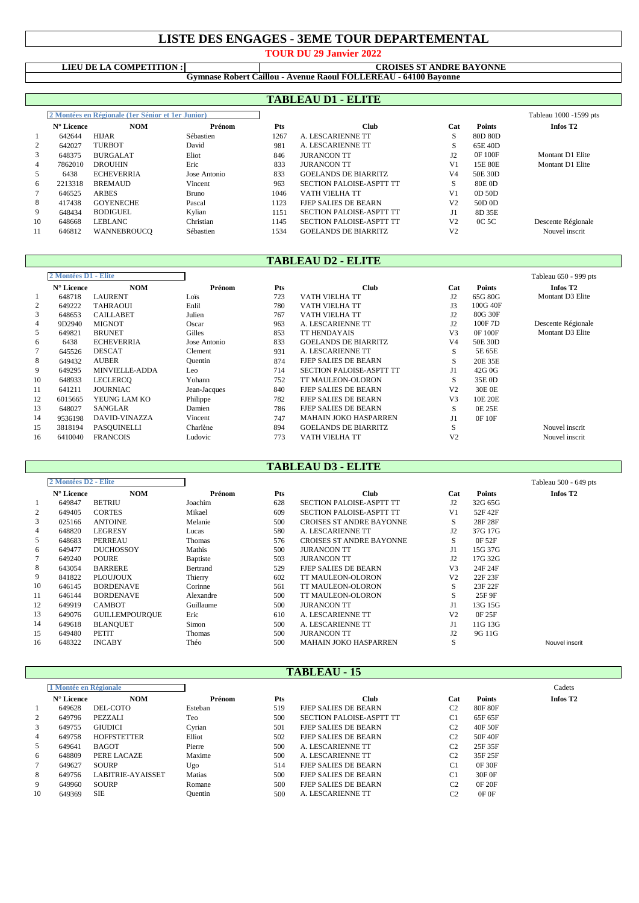## **LISTE DES ENGAGES - 3EME TOUR DEPARTEMENTAL**

**TOUR DU 29 Janvier 2022**

#### **LIEU DE LA COMPETITION : CROISES ST ANDRE BAYONNE**

**Gymnase Robert Caillou - Avenue Raoul FOLLEREAU - 64100 Bayonne**

# **TABLEAU D1 - ELITE**

|                | 2 Montées en Régionale (1er Sénior et 1er Junior) |                    |              |      |                                 |                |                | Tableau 1000 -1599 pts |
|----------------|---------------------------------------------------|--------------------|--------------|------|---------------------------------|----------------|----------------|------------------------|
|                | $N^{\circ}$ Licence                               | <b>NOM</b>         | Prénom       | Pts  | Club                            | Cat            | <b>Points</b>  | Infos T <sub>2</sub>   |
| -1             | 642644                                            | <b>HIJAR</b>       | Sébastien    | 1267 | A. LESCARIENNE TT               | S              | 80D 80D        |                        |
| 2              | 642027                                            | <b>TURBOT</b>      | David        | 981  | A. LESCARIENNE TT               | <b>S</b>       | 65E 40D        |                        |
| 3              | 648375                                            | <b>BURGALAT</b>    | Eliot        | 846  | <b>JURANCON TT</b>              | J2             | <b>OF 100F</b> | Montant D1 Elite       |
| $\overline{4}$ | 7862010                                           | <b>DROUHIN</b>     | Eric         | 833  | <b>JURANCON TT</b>              | V <sub>1</sub> | 15E 80E        | Montant D1 Elite       |
| 5              | 6438                                              | <b>ECHEVERRIA</b>  | Jose Antonio | 833  | <b>GOELANDS DE BIARRITZ</b>     | V4             | 50E 30D        |                        |
| 6              | 2213318                                           | <b>BREMAUD</b>     | Vincent      | 963  | <b>SECTION PALOISE-ASPTT TT</b> | S              | 80E 0D         |                        |
|                | 646525                                            | <b>ARBES</b>       | <b>Bruno</b> | 1046 | VATH VIELHA TT                  | V1             | $OD$ 50D       |                        |
| 8              | 417438                                            | <b>GOYENECHE</b>   | Pascal       | 1123 | FIEP SALIES DE BEARN            | V <sub>2</sub> | 50D 0D         |                        |
| 9              | 648434                                            | <b>BODIGUEL</b>    | Kylian       | 1151 | <b>SECTION PALOISE-ASPTT TT</b> | J1             | 8D 35E         |                        |
| 10             | 648668                                            | LEBLANC            | Christian    | 1145 | <b>SECTION PALOISE-ASPTT TT</b> | V <sub>2</sub> | 0C 5C          | Descente Régionale     |
| 11             | 646812                                            | <b>WANNEBROUCO</b> | Sébastien    | 1534 | <b>GOELANDS DE BIARRITZ</b>     | V <sub>2</sub> |                | Nouvel inscrit         |

## **TABLEAU D2 - ELITE**

| 2 Montées D1 - Elite |                     |                       |              |            |                                 |                | Tableau 650 - 999 pts |                      |
|----------------------|---------------------|-----------------------|--------------|------------|---------------------------------|----------------|-----------------------|----------------------|
|                      | $N^{\circ}$ Licence | <b>NOM</b>            | Prénom       | <b>Pts</b> | <b>Club</b>                     | Cat            | Points                | Infos T <sub>2</sub> |
|                      | 648718              | <b>LAURENT</b>        | Loïs         | 723        | VATH VIELHA TT                  | J2             | 65G 80G               | Montant D3 Elite     |
| 2                    | 649222              | <b>TAHRAOUI</b>       | Enlil        | 780        | VATH VIELHA TT                  | J3             | 100G 40F              |                      |
| 3                    | 648653              | <b>CAILLABET</b>      | Julien       | 767        | VATH VIELHA TT                  | J2             | 80G 30F               |                      |
| 4                    | 9D2940              | <b>MIGNOT</b>         | Oscar        | 963        | A. LESCARIENNE TT               | J2             | 100F7D                | Descente Régionale   |
| 5                    | 649821              | <b>BRUNET</b>         | Gilles       | 853        | <b>TT HENDAYAIS</b>             | V <sub>3</sub> | 0F 100F               | Montant D3 Elite     |
| 6                    | 6438                | <b>ECHEVERRIA</b>     | Jose Antonio | 833        | <b>GOELANDS DE BIARRITZ</b>     | V4             | 50E 30D               |                      |
|                      | 645526              | <b>DESCAT</b>         | Clement      | 931        | A. LESCARIENNE TT               | S              | 5E 65E                |                      |
| 8                    | 649432              | <b>AUBER</b>          | Ouentin      | 874        | <b>FJEP SALIES DE BEARN</b>     | S              | 20E 35E               |                      |
| 9                    | 649295              | <b>MINVIELLE-ADDA</b> | Leo          | 714        | <b>SECTION PALOISE-ASPTT TT</b> | J1             | 42G 0G                |                      |
| 10                   | 648933              | <b>LECLERCO</b>       | Yohann       | 752        | TT MAULEON-OLORON               | S              | 35E 0D                |                      |
| 11                   | 641211              | <b>JOURNIAC</b>       | Jean-Jacques | 840        | <b>FJEP SALIES DE BEARN</b>     | V <sub>2</sub> | 30E 0E                |                      |
| 12                   | 6015665             | YEUNG LAM KO          | Philippe     | 782        | <b>FJEP SALIES DE BEARN</b>     | V <sub>3</sub> | 10E 20E               |                      |
| 13                   | 648027              | SANGLAR               | Damien       | 786        | <b>FJEP SALIES DE BEARN</b>     | S              | 0E 25E                |                      |
| 14                   | 9536198             | <b>DAVID-VINAZZA</b>  | Vincent      | 747        | <b>MAHAIN JOKO HASPARREN</b>    |                | 0F 10F                |                      |
| 15                   | 3818194             | PASQUINELLI           | Charlène     | 894        | <b>GOELANDS DE BIARRITZ</b>     | $\sim$<br>S    |                       | Nouvel inscrit       |
| 16                   | 6410040             | <b>FRANCOIS</b>       | Ludovic      | 773        | VATH VIELHA TT                  | V <sub>2</sub> |                       | Nouvel inscrit       |

## **TABLEAU D3 - ELITE**

|                | 2 Montées D2 - Elite |                       |                 |     |                                 |                |               | Tableau 500 - 649 pts |
|----------------|----------------------|-----------------------|-----------------|-----|---------------------------------|----------------|---------------|-----------------------|
|                | N° Licence           | <b>NOM</b>            | Prénom          | Pts | <b>Club</b>                     | Cat            | <b>Points</b> | Infos T <sub>2</sub>  |
| -1             | 649847               | <b>BETRIU</b>         | Joachim         | 628 | <b>SECTION PALOISE-ASPTT TT</b> | J2             | 32G 65G       |                       |
| 2              | 649405               | <b>CORTES</b>         | Mikael          | 609 | <b>SECTION PALOISE-ASPTT TT</b> | V <sub>1</sub> | 52F 42F       |                       |
| 3              | 025166               | <b>ANTOINE</b>        | Melanie         | 500 | <b>CROISES ST ANDRE BAYONNE</b> | S              | 28F 28F       |                       |
| $\overline{4}$ | 648820               | <b>LEGRESY</b>        | Lucas           | 580 | A. LESCARIENNE TT               | J2             | 37G 17G       |                       |
| 5              | 648683               | <b>PERREAU</b>        | Thomas          | 576 | <b>CROISES ST ANDRE BAYONNE</b> | S              | 0F 52F        |                       |
| 6              | 649477               | <b>DUCHOSSOY</b>      | Mathis          | 500 | <b>JURANCON TT</b>              | J1             | 15G 37G       |                       |
|                | 649240               | <b>POURE</b>          | <b>Baptiste</b> | 503 | <b>JURANCON TT</b>              | J2             | 17G 32G       |                       |
| 8              | 643054               | <b>BARRERE</b>        | Bertrand        | 529 | <b>FIEP SALIES DE BEARN</b>     | V <sub>3</sub> | 24F 24F       |                       |
| 9              | 841822               | <b>PLOUJOUX</b>       | Thierry         | 602 | TT MAULEON-OLORON               | V <sub>2</sub> | 22F 23F       |                       |
| 10             | 646145               | <b>BORDENAVE</b>      | Corinne         | 561 | <b>TT MAULEON-OLORON</b>        | S              | 23F 22F       |                       |
| 11             | 646144               | <b>BORDENAVE</b>      | Alexandre       | 500 | <b>TT MAULEON-OLORON</b>        | S              | 25F 9F        |                       |
| 12             | 649919               | <b>CAMBOT</b>         | Guillaume       | 500 | <b>JURANCON TT</b>              | J1             | 13G 15G       |                       |
| 13             | 649076               | <b>GUILLEMPOUROUE</b> | Eric            | 610 | A. LESCARIENNE TT               | V <sub>2</sub> | 0F 25F        |                       |
| 14             | 649618               | <b>BLANQUET</b>       | Simon           | 500 | A. LESCARIENNE TT               | J1             | 11G 13G       |                       |
| 15             | 649480               | PETIT                 | <b>Thomas</b>   | 500 | <b>JURANCON TT</b>              | J2             | 9G 11G        |                       |
| 16             | 648322               | <b>INCABY</b>         | Théo            | 500 | <b>MAHAIN JOKO HASPARREN</b>    | S              |               | Nouvel inscrit        |

### **TABLEAU - 15**

|                | 1 Montée en Régionale |                          |         |     |                             |                |               | Cadets               |
|----------------|-----------------------|--------------------------|---------|-----|-----------------------------|----------------|---------------|----------------------|
|                | $N^{\circ}$ Licence   | <b>NOM</b>               | Prénom  | Pts | Club                        | Cat            | <b>Points</b> | Infos T <sub>2</sub> |
|                | 649628                | DEL-COTO                 | Esteban | 519 | <b>FIEP SALIES DE BEARN</b> | C <sub>2</sub> | 80F 80F       |                      |
|                | 649796                | <b>PEZZALI</b>           | Teo     | 500 | SECTION PALOISE-ASPTT TT    | C1             | 65F 65F       |                      |
| 3              | 649755                | <b>GIUDICI</b>           | Cvrian  | 501 | <b>FIEP SALIES DE BEARN</b> | C <sub>2</sub> | 40F 50F       |                      |
| $\overline{4}$ | 649758                | <b>HOFFSTETTER</b>       | Elliot  | 502 | <b>FIEP SALIES DE BEARN</b> | C <sub>2</sub> | 50F 40F       |                      |
| 5              | 649641                | <b>BAGOT</b>             | Pierre  | 500 | A. LESCARIENNE TT           | C <sub>2</sub> | 25F 35F       |                      |
| 6              | 648809                | PERE LACAZE              | Maxime  | 500 | A. LESCARIENNE TT           | C <sub>2</sub> | 35F 25F       |                      |
|                | 649627                | <b>SOURP</b>             | Ugo     | 514 | <b>FIEP SALIES DE BEARN</b> | C <sub>1</sub> | 0F 30F        |                      |
| 8              | 649756                | <b>LABITRIE-AYAISSET</b> | Matias  | 500 | <b>FIEP SALIES DE BEARN</b> | C1             | 30F 0F        |                      |
| 9              | 649960                | SOURP                    | Romane  | 500 | FJEP SALIES DE BEARN        | C <sub>2</sub> | <b>OF 20F</b> |                      |
| 10             | 649369                | <b>SIE</b>               | Ouentin | 500 | A. LESCARIENNE TT           |                | OF OF         |                      |